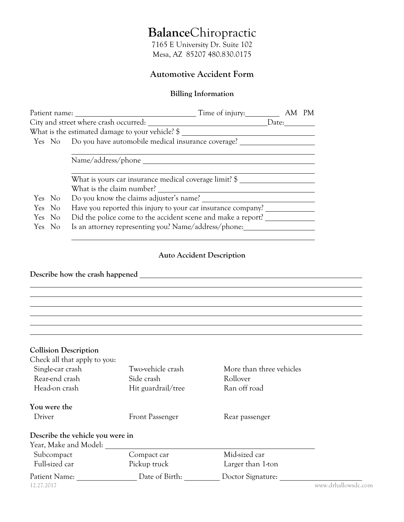# **Balance**Chiropractic

7165 E University Dr. Suite 102 Mesa, AZ 85207 480.830.0175

## **Automotive Accident Form**

### **Billing Information**

|        |                                                                        |                                                           | Time of injury: AM |  |  |
|--------|------------------------------------------------------------------------|-----------------------------------------------------------|--------------------|--|--|
|        |                                                                        |                                                           |                    |  |  |
|        |                                                                        | What is the estimated damage to your vehicle? \$          |                    |  |  |
|        |                                                                        | Yes No Do you have automobile medical insurance coverage? |                    |  |  |
|        |                                                                        |                                                           |                    |  |  |
|        |                                                                        |                                                           |                    |  |  |
|        |                                                                        |                                                           |                    |  |  |
|        |                                                                        | What is yours car insurance medical coverage limit? \$    |                    |  |  |
|        |                                                                        | What is the claim number?                                 |                    |  |  |
| Yes No |                                                                        | Do you know the claims adjuster's name?                   |                    |  |  |
|        | Have you reported this injury to your car insurance company?<br>Yes No |                                                           |                    |  |  |
|        | Did the police come to the accident scene and make a report?<br>Yes No |                                                           |                    |  |  |
| Yes No |                                                                        | Is an attorney representing you? Name/address/phone:      |                    |  |  |
|        |                                                                        |                                                           |                    |  |  |

## **Auto Accident Description**

**Describe how the crash happened** 

| <b>Collision Description</b>     |                        |                          |                     |
|----------------------------------|------------------------|--------------------------|---------------------|
| Check all that apply to you:     |                        |                          |                     |
| Single-car crash                 | Two-vehicle crash      | More than three vehicles |                     |
| Rear-end crash                   | Side crash             | Rollover                 |                     |
| Head-on crash                    | Hit guardrail/tree     | Ran off road             |                     |
| You were the                     |                        |                          |                     |
| Driver                           | <b>Front Passenger</b> | Rear passenger           |                     |
| Describe the vehicle you were in |                        |                          |                     |
| Year, Make and Model:            |                        |                          |                     |
| Subcompact                       | Compact car            | Mid-sized car            |                     |
| Full-sized car                   | Pickup truck           | Larger than 1-ton        |                     |
| Patient Name:                    | Date of Birth:         | Doctor Signature:        |                     |
| 12.27.2017                       |                        |                          | www.drhallowsdc.com |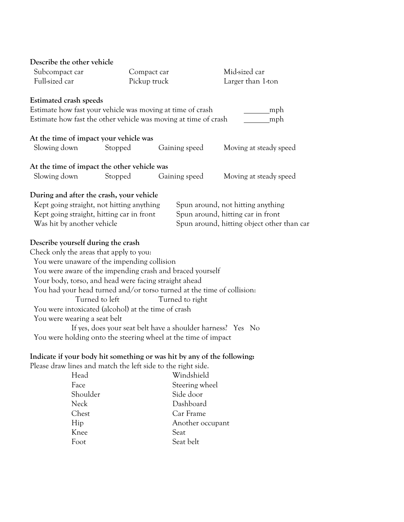| Describe the other vehicle                                   |                |                                                                         |                                            |
|--------------------------------------------------------------|----------------|-------------------------------------------------------------------------|--------------------------------------------|
| Subcompact car                                               | Compact car    |                                                                         | Mid-sized car                              |
| Full-sized car<br>Pickup truck                               |                |                                                                         | Larger than 1-ton                          |
| Estimated crash speeds                                       |                |                                                                         |                                            |
| Estimate how fast your vehicle was moving at time of crash   |                |                                                                         | mph                                        |
|                                                              |                | Estimate how fast the other vehicle was moving at time of crash         | mph                                        |
| At the time of impact your vehicle was                       |                |                                                                         |                                            |
| Slowing down                                                 | Stopped        | Gaining speed                                                           | Moving at steady speed                     |
| At the time of impact the other vehicle was                  |                |                                                                         |                                            |
| Slowing down                                                 | Stopped        | Gaining speed                                                           | Moving at steady speed                     |
| During and after the crash, your vehicle                     |                |                                                                         |                                            |
| Kept going straight, not hitting anything                    |                |                                                                         | Spun around, not hitting anything          |
| Kept going straight, hitting car in front                    |                |                                                                         | Spun around, hitting car in front          |
| Was hit by another vehicle                                   |                |                                                                         | Spun around, hitting object other than car |
| Describe yourself during the crash                           |                |                                                                         |                                            |
| Check only the areas that apply to you:                      |                |                                                                         |                                            |
| You were unaware of the impending collision                  |                |                                                                         |                                            |
|                                                              |                | You were aware of the impending crash and braced yourself               |                                            |
| Your body, torso, and head were facing straight ahead        |                |                                                                         |                                            |
|                                                              |                | You had your head turned and/or torso turned at the time of collision:  |                                            |
|                                                              | Turned to left | Turned to right                                                         |                                            |
| You were intoxicated (alcohol) at the time of crash          |                |                                                                         |                                            |
| You were wearing a seat belt                                 |                |                                                                         |                                            |
|                                                              |                | If yes, does your seat belt have a shoulder harness? Yes No             |                                            |
|                                                              |                | You were holding onto the steering wheel at the time of impact          |                                            |
|                                                              |                | Indicate if your body hit something or was hit by any of the following: |                                            |
| Please draw lines and match the left side to the right side. |                |                                                                         |                                            |
| Head                                                         |                | Windshield                                                              |                                            |
| Face                                                         |                | Steering wheel                                                          |                                            |
| Shoulder                                                     |                | Side door                                                               |                                            |
| <b>Neck</b>                                                  |                | Dashboard                                                               |                                            |
| Chest                                                        |                | Car Frame                                                               |                                            |

Hip Another occupant

Knee Seat<br>Foot Seat Seat belt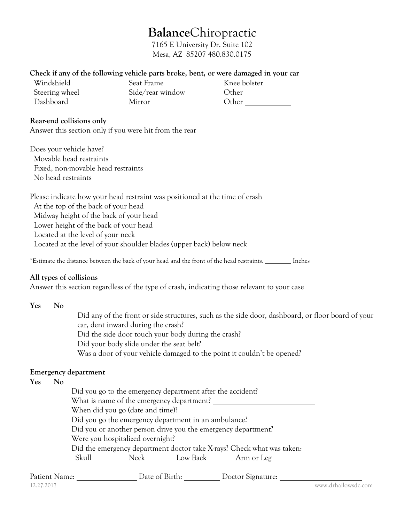## **Balance**Chiropractic

7165 E University Dr. Suite 102 Mesa, AZ 85207 480.830.0175

#### **Check if any of the following vehicle parts broke, bent, or were damaged in your car**

| Windshield     | Seat Frame       | Knee bolster |
|----------------|------------------|--------------|
| Steering wheel | Side/rear window | Other        |
| Dashboard      | Mirror           | Other        |

#### **Rear-end collisions only**

Answer this section only if you were hit from the rear

Does your vehicle have? Movable head restraints Fixed, non-movable head restraints No head restraints

Please indicate how your head restraint was positioned at the time of crash At the top of the back of your head Midway height of the back of your head Lower height of the back of your head Located at the level of your neck Located at the level of your shoulder blades (upper back) below neck

\*Estimate the distance between the back of your head and the front of the head restraints. \_\_\_\_\_\_\_\_\_ Inches

#### **All types of collisions**

Answer this section regardless of the type of crash, indicating those relevant to your case

| Yes | No |                                                                                                                                         |  |  |  |
|-----|----|-----------------------------------------------------------------------------------------------------------------------------------------|--|--|--|
|     |    | Did any of the front or side structures, such as the side door, dashboard, or floor board of your<br>car, dent inward during the crash? |  |  |  |
|     |    | Did the side door touch your body during the crash?                                                                                     |  |  |  |
|     |    | Did your body slide under the seat belt?                                                                                                |  |  |  |
|     |    | Was a door of your vehicle damaged to the point it couldn't be opened?                                                                  |  |  |  |
|     |    | <b>Emergency department</b>                                                                                                             |  |  |  |
| Yes | No |                                                                                                                                         |  |  |  |
|     |    | Did you go to the emergency department after the accident?                                                                              |  |  |  |
|     |    | What is name of the emergency department?                                                                                               |  |  |  |
|     |    | When did you go (date and time)?                                                                                                        |  |  |  |
|     |    | Did you go the emergency department in an ambulance?                                                                                    |  |  |  |
|     |    | Did you or another person drive you the emergency department?                                                                           |  |  |  |
|     |    | Were you hospitalized overnight?                                                                                                        |  |  |  |
|     |    | Did the emergency department doctor take X-rays? Check what was taken:                                                                  |  |  |  |
|     |    | Skull<br>Low Back<br>Neck<br>Arm or Leg                                                                                                 |  |  |  |

| Patient Name: | Date of Birth: | Doctor Signature: |                     |
|---------------|----------------|-------------------|---------------------|
| 12.27.2017    |                |                   | www.drhallowsdc.com |